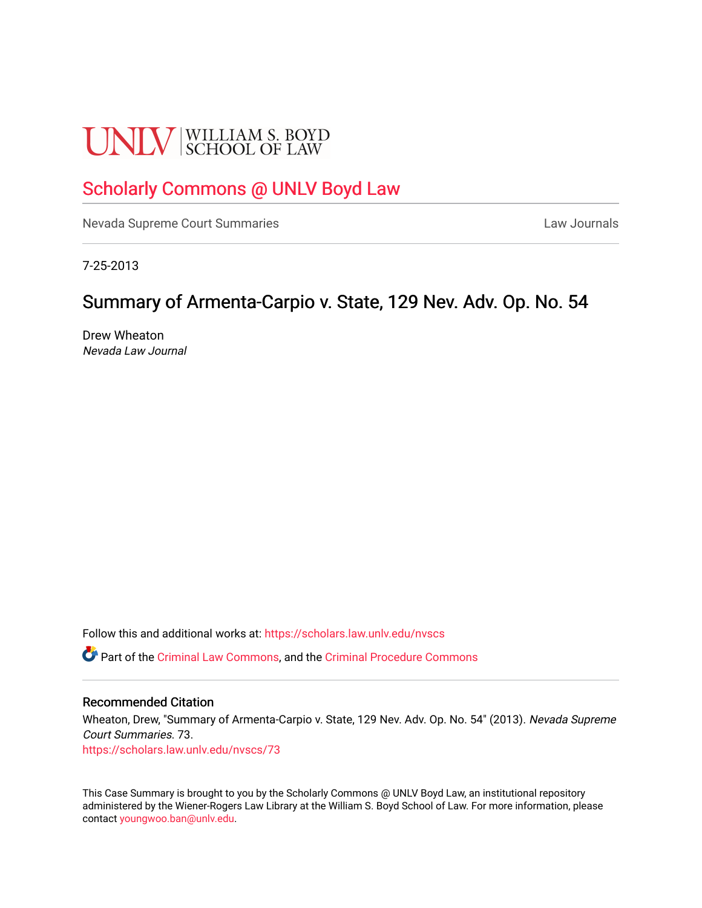# **UNLV** SCHOOL OF LAW

## [Scholarly Commons @ UNLV Boyd Law](https://scholars.law.unlv.edu/)

[Nevada Supreme Court Summaries](https://scholars.law.unlv.edu/nvscs) **Law Journals** Law Journals

7-25-2013

### Summary of Armenta-Carpio v. State, 129 Nev. Adv. Op. No. 54

Drew Wheaton Nevada Law Journal

Follow this and additional works at: [https://scholars.law.unlv.edu/nvscs](https://scholars.law.unlv.edu/nvscs?utm_source=scholars.law.unlv.edu%2Fnvscs%2F73&utm_medium=PDF&utm_campaign=PDFCoverPages)

Part of the [Criminal Law Commons,](http://network.bepress.com/hgg/discipline/912?utm_source=scholars.law.unlv.edu%2Fnvscs%2F73&utm_medium=PDF&utm_campaign=PDFCoverPages) and the [Criminal Procedure Commons](http://network.bepress.com/hgg/discipline/1073?utm_source=scholars.law.unlv.edu%2Fnvscs%2F73&utm_medium=PDF&utm_campaign=PDFCoverPages)

#### Recommended Citation

Wheaton, Drew, "Summary of Armenta-Carpio v. State, 129 Nev. Adv. Op. No. 54" (2013). Nevada Supreme Court Summaries. 73. [https://scholars.law.unlv.edu/nvscs/73](https://scholars.law.unlv.edu/nvscs/73?utm_source=scholars.law.unlv.edu%2Fnvscs%2F73&utm_medium=PDF&utm_campaign=PDFCoverPages) 

This Case Summary is brought to you by the Scholarly Commons @ UNLV Boyd Law, an institutional repository administered by the Wiener-Rogers Law Library at the William S. Boyd School of Law. For more information, please contact [youngwoo.ban@unlv.edu](mailto:youngwoo.ban@unlv.edu).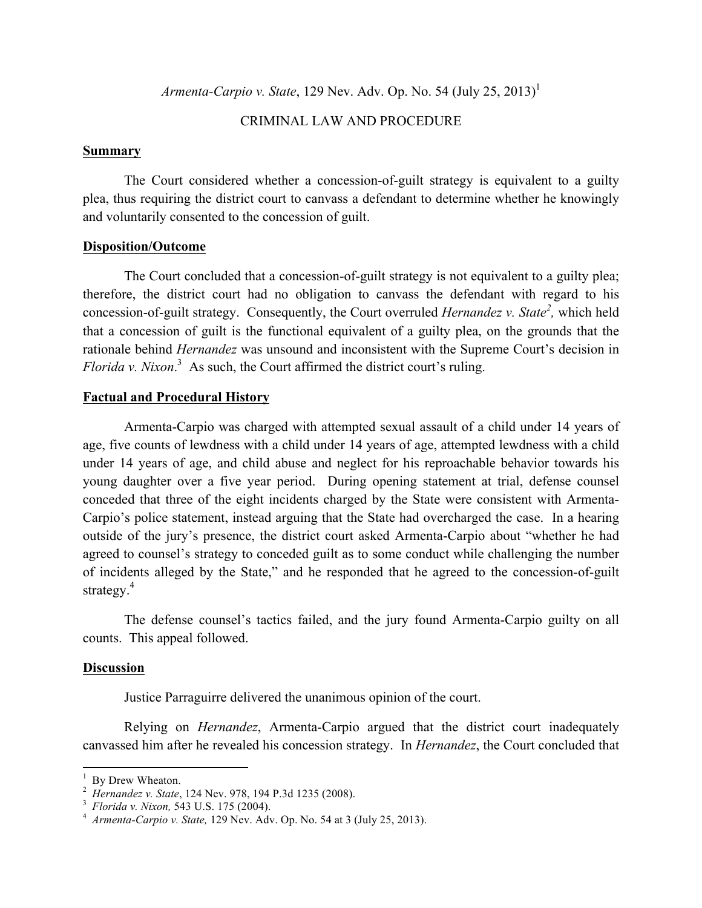*Armenta-Carpio v. State*, 129 Nev. Adv. Op. No. 54 (July 25, 2013) 1

#### CRIMINAL LAW AND PROCEDURE

#### **Summary**

The Court considered whether a concession-of-guilt strategy is equivalent to a guilty plea, thus requiring the district court to canvass a defendant to determine whether he knowingly and voluntarily consented to the concession of guilt.

#### **Disposition/Outcome**

The Court concluded that a concession-of-guilt strategy is not equivalent to a guilty plea; therefore, the district court had no obligation to canvass the defendant with regard to his concession-of-guilt strategy. Consequently, the Court overruled *Hernandez v. State*<sup>2</sup>, which held that a concession of guilt is the functional equivalent of a guilty plea, on the grounds that the rationale behind *Hernandez* was unsound and inconsistent with the Supreme Court's decision in *Florida v. Nixon*. 3 As such, the Court affirmed the district court's ruling.

#### **Factual and Procedural History**

Armenta-Carpio was charged with attempted sexual assault of a child under 14 years of age, five counts of lewdness with a child under 14 years of age, attempted lewdness with a child under 14 years of age, and child abuse and neglect for his reproachable behavior towards his young daughter over a five year period. During opening statement at trial, defense counsel conceded that three of the eight incidents charged by the State were consistent with Armenta-Carpio's police statement, instead arguing that the State had overcharged the case. In a hearing outside of the jury's presence, the district court asked Armenta-Carpio about "whether he had agreed to counsel's strategy to conceded guilt as to some conduct while challenging the number of incidents alleged by the State," and he responded that he agreed to the concession-of-guilt strategy. 4

The defense counsel's tactics failed, and the jury found Armenta-Carpio guilty on all counts. This appeal followed.

#### **Discussion**

Justice Parraguirre delivered the unanimous opinion of the court.

Relying on *Hernandez*, Armenta-Carpio argued that the district court inadequately canvassed him after he revealed his concession strategy. In *Hernandez*, the Court concluded that

 

<sup>1</sup>  $\frac{1}{2}$  By Drew Wheaton.

*Hernandez v. State*, 124 Nev. 978, 194 P.3d 1235 (2008).<br><sup>3</sup> *Florida v. Nixon,* 543 U.S. 175 (2004).<br><sup>4</sup> *Armanta Carpio v. State*, 120 Nov. Adv. Op. No. 54 at 3.

*Armenta-Carpio v. State,* 129 Nev. Adv. Op. No. 54 at 3 (July 25, 2013).